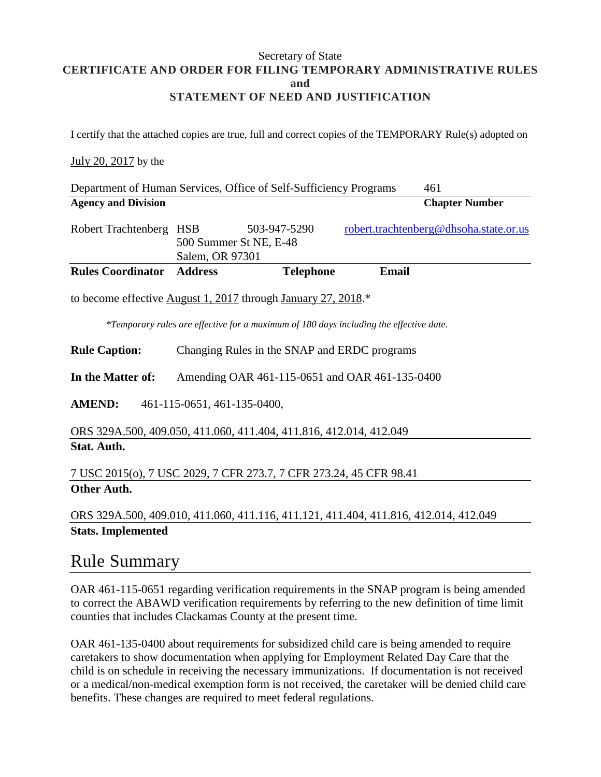#### Secretary of State **CERTIFICATE AND ORDER FOR FILING TEMPORARY ADMINISTRATIVE RULES and STATEMENT OF NEED AND JUSTIFICATION**

I certify that the attached copies are true, full and correct copies of the TEMPORARY Rule(s) adopted on

### July 20, 2017 by the

|                            |                                                | Department of Human Services, Office of Self-Sufficiency Programs                                             | 461                                                                                    |
|----------------------------|------------------------------------------------|---------------------------------------------------------------------------------------------------------------|----------------------------------------------------------------------------------------|
| <b>Agency and Division</b> |                                                |                                                                                                               | <b>Chapter Number</b>                                                                  |
| Robert Trachtenberg HSB    | Salem, OR 97301                                | 503-947-5290<br>500 Summer St NE, E-48                                                                        | robert.trachtenberg@dhsoha.state.or.us                                                 |
| <b>Rules Coordinator</b>   | <b>Address</b>                                 | <b>Telephone</b>                                                                                              | <b>Email</b>                                                                           |
| <b>Rule Caption:</b>       |                                                | to become effective August 1, 2017 through January 27, 2018.*<br>Changing Rules in the SNAP and ERDC programs | *Temporary rules are effective for a maximum of 180 days including the effective date. |
| In the Matter of:          | Amending OAR 461-115-0651 and OAR 461-135-0400 |                                                                                                               |                                                                                        |
| <b>AMEND:</b>              | 461-115-0651, 461-135-0400,                    |                                                                                                               |                                                                                        |
|                            |                                                | ORS 329A.500, 409.050, 411.060, 411.404, 411.816, 412.014, 412.049                                            |                                                                                        |
| Stat. Auth.                |                                                |                                                                                                               |                                                                                        |
|                            |                                                | 7 USC 2015(o), 7 USC 2029, 7 CFR 273.7, 7 CFR 273.24, 45 CFR 98.41                                            |                                                                                        |

### **Other Auth.**

### ORS 329A.500, 409.010, 411.060, 411.116, 411.121, 411.404, 411.816, 412.014, 412.049 **Stats. Implemented**

### Rule Summary

OAR 461-115-0651 regarding verification requirements in the SNAP program is being amended to correct the ABAWD verification requirements by referring to the new definition of time limit counties that includes Clackamas County at the present time.

OAR 461-135-0400 about requirements for subsidized child care is being amended to require caretakers to show documentation when applying for Employment Related Day Care that the child is on schedule in receiving the necessary immunizations. If documentation is not received or a medical/non-medical exemption form is not received, the caretaker will be denied child care benefits. These changes are required to meet federal regulations.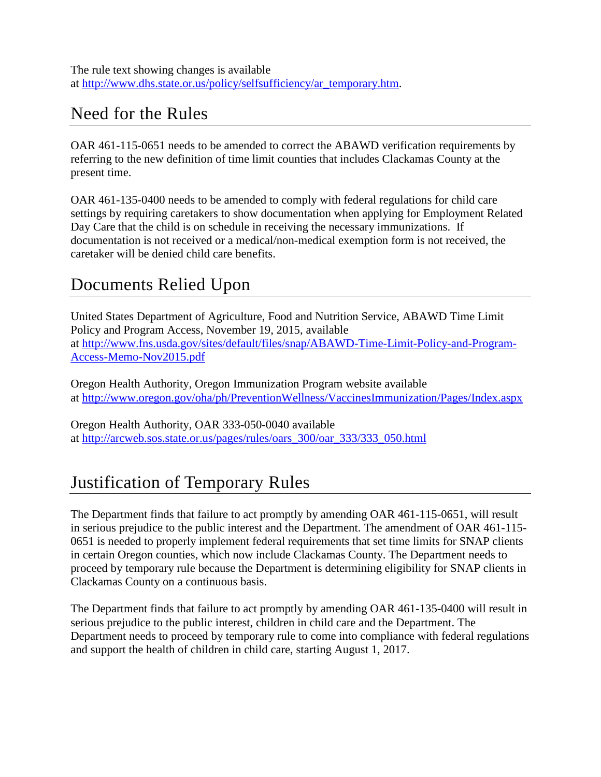The rule text showing changes is available at [http://www.dhs.state.or.us/policy/selfsufficiency/ar\\_temporary.htm.](http://www.dhs.state.or.us/policy/selfsufficiency/ar_temporary.htm)

## Need for the Rules

OAR 461-115-0651 needs to be amended to correct the ABAWD verification requirements by referring to the new definition of time limit counties that includes Clackamas County at the present time.

OAR 461-135-0400 needs to be amended to comply with federal regulations for child care settings by requiring caretakers to show documentation when applying for Employment Related Day Care that the child is on schedule in receiving the necessary immunizations. If documentation is not received or a medical/non-medical exemption form is not received, the caretaker will be denied child care benefits.

## Documents Relied Upon

United States Department of Agriculture, Food and Nutrition Service, ABAWD Time Limit Policy and Program Access, November 19, 2015, available at [http://www.fns.usda.gov/sites/default/files/snap/ABAWD-Time-Limit-Policy-and-Program-](http://www.fns.usda.gov/sites/default/files/snap/ABAWD-Time-Limit-Policy-and-Program-Access-Memo-Nov2015.pdf)[Access-Memo-Nov2015.pdf](http://www.fns.usda.gov/sites/default/files/snap/ABAWD-Time-Limit-Policy-and-Program-Access-Memo-Nov2015.pdf)

Oregon Health Authority, Oregon Immunization Program website available at<http://www.oregon.gov/oha/ph/PreventionWellness/VaccinesImmunization/Pages/Index.aspx>

Oregon Health Authority, OAR 333-050-0040 available at [http://arcweb.sos.state.or.us/pages/rules/oars\\_300/oar\\_333/333\\_050.html](http://arcweb.sos.state.or.us/pages/rules/oars_300/oar_333/333_050.html)

# Justification of Temporary Rules

The Department finds that failure to act promptly by amending OAR 461-115-0651, will result in serious prejudice to the public interest and the Department. The amendment of OAR 461-115- 0651 is needed to properly implement federal requirements that set time limits for SNAP clients in certain Oregon counties, which now include Clackamas County. The Department needs to proceed by temporary rule because the Department is determining eligibility for SNAP clients in Clackamas County on a continuous basis.

The Department finds that failure to act promptly by amending OAR 461-135-0400 will result in serious prejudice to the public interest, children in child care and the Department. The Department needs to proceed by temporary rule to come into compliance with federal regulations and support the health of children in child care, starting August 1, 2017.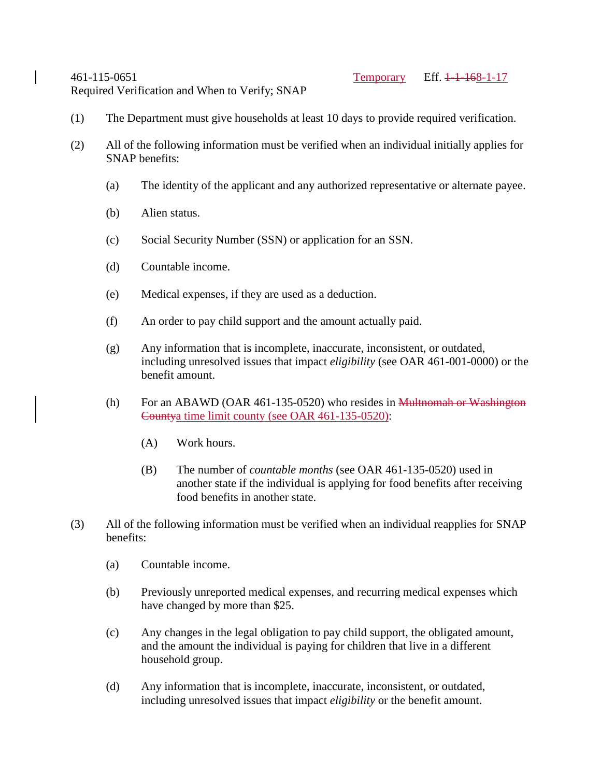Required Verification and When to Verify; SNAP

- (1) The Department must give households at least 10 days to provide required verification.
- (2) All of the following information must be verified when an individual initially applies for SNAP benefits:
	- (a) The identity of the applicant and any authorized representative or alternate payee.
	- (b) Alien status.
	- (c) Social Security Number (SSN) or application for an SSN.
	- (d) Countable income.
	- (e) Medical expenses, if they are used as a deduction.
	- (f) An order to pay child support and the amount actually paid.
	- (g) Any information that is incomplete, inaccurate, inconsistent, or outdated, including unresolved issues that impact *eligibility* (see OAR 461-001-0000) or the benefit amount.
	- (h) For an ABAWD (OAR 461-135-0520) who resides in Multnomah or Washington Countya time limit county (see OAR 461-135-0520):
		- (A) Work hours.
		- (B) The number of *countable months* (see OAR 461-135-0520) used in another state if the individual is applying for food benefits after receiving food benefits in another state.
- (3) All of the following information must be verified when an individual reapplies for SNAP benefits:
	- (a) Countable income.
	- (b) Previously unreported medical expenses, and recurring medical expenses which have changed by more than \$25.
	- (c) Any changes in the legal obligation to pay child support, the obligated amount, and the amount the individual is paying for children that live in a different household group.
	- (d) Any information that is incomplete, inaccurate, inconsistent, or outdated, including unresolved issues that impact *eligibility* or the benefit amount.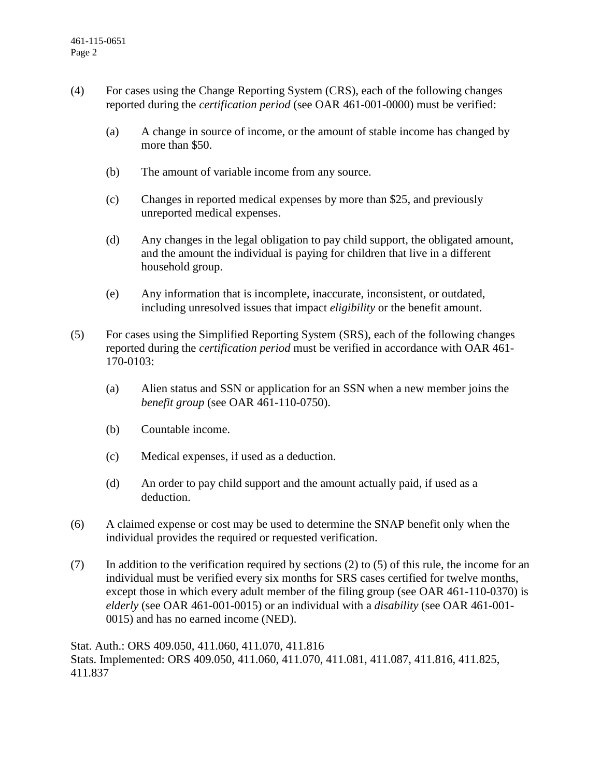- (4) For cases using the Change Reporting System (CRS), each of the following changes reported during the *certification period* (see OAR 461-001-0000) must be verified:
	- (a) A change in source of income, or the amount of stable income has changed by more than \$50.
	- (b) The amount of variable income from any source.
	- (c) Changes in reported medical expenses by more than \$25, and previously unreported medical expenses.
	- (d) Any changes in the legal obligation to pay child support, the obligated amount, and the amount the individual is paying for children that live in a different household group.
	- (e) Any information that is incomplete, inaccurate, inconsistent, or outdated, including unresolved issues that impact *eligibility* or the benefit amount.
- (5) For cases using the Simplified Reporting System (SRS), each of the following changes reported during the *certification period* must be verified in accordance with OAR 461- 170-0103:
	- (a) Alien status and SSN or application for an SSN when a new member joins the *benefit group* (see OAR 461-110-0750).
	- (b) Countable income.
	- (c) Medical expenses, if used as a deduction.
	- (d) An order to pay child support and the amount actually paid, if used as a deduction.
- (6) A claimed expense or cost may be used to determine the SNAP benefit only when the individual provides the required or requested verification.
- (7) In addition to the verification required by sections (2) to (5) of this rule, the income for an individual must be verified every six months for SRS cases certified for twelve months, except those in which every adult member of the filing group (see OAR 461-110-0370) is *elderly* (see OAR 461-001-0015) or an individual with a *disability* (see OAR 461-001- 0015) and has no earned income (NED).

Stat. Auth.: ORS 409.050, 411.060, 411.070, 411.816 Stats. Implemented: ORS 409.050, 411.060, 411.070, 411.081, 411.087, 411.816, 411.825, 411.837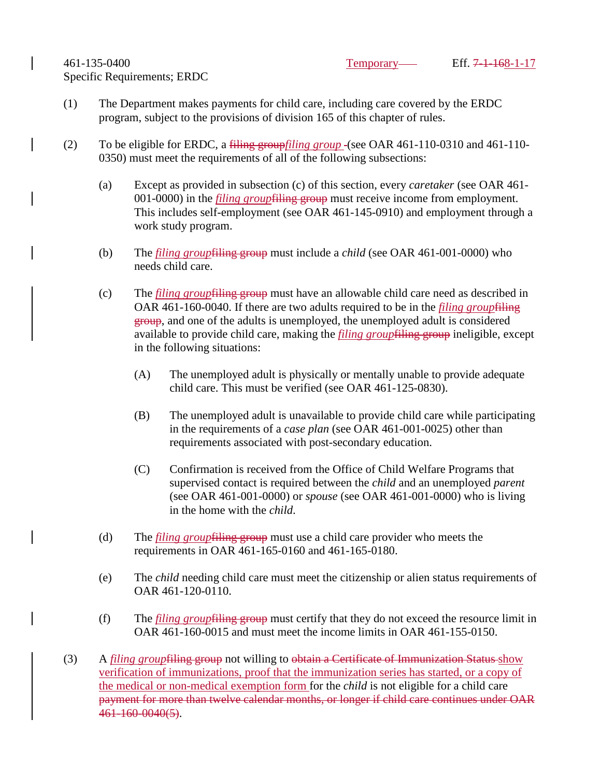- (1) The Department makes payments for child care, including care covered by the ERDC program, subject to the provisions of division 165 of this chapter of rules.
- (2) To be eligible for ERDC, a filing group*filing group* (see OAR 461-110-0310 and 461-110- 0350) must meet the requirements of all of the following subsections:
	- (a) Except as provided in subsection (c) of this section, every *caretaker* (see OAR 461- 001-0000) in the *filing group*filing group must receive income from employment. This includes self-employment (see OAR 461-145-0910) and employment through a work study program.
	- (b) The *filing group*filing group must include a *child* (see OAR 461-001-0000) who needs child care.
	- (c) The *filing group*filing group must have an allowable child care need as described in OAR 461-160-0040. If there are two adults required to be in the *filing group*filing group, and one of the adults is unemployed, the unemployed adult is considered available to provide child care, making the *filing group*filing group ineligible, except in the following situations:
		- (A) The unemployed adult is physically or mentally unable to provide adequate child care. This must be verified (see OAR 461-125-0830).
		- (B) The unemployed adult is unavailable to provide child care while participating in the requirements of a *case plan* (see OAR 461-001-0025) other than requirements associated with post-secondary education.
		- (C) Confirmation is received from the Office of Child Welfare Programs that supervised contact is required between the *child* and an unemployed *parent* (see OAR 461-001-0000) or *spouse* (see OAR 461-001-0000) who is living in the home with the *child*.
	- (d) The *filing group*filing group must use a child care provider who meets the requirements in OAR 461-165-0160 and 461-165-0180.
	- (e) The *child* needing child care must meet the citizenship or alien status requirements of OAR 461-120-0110.
	- (f) The *filing group*filing group must certify that they do not exceed the resource limit in OAR 461-160-0015 and must meet the income limits in OAR 461-155-0150.
- (3) A *filing group*filing group not willing to obtain a Certificate of Immunization Status show verification of immunizations, proof that the immunization series has started, or a copy of the medical or non-medical exemption form for the *child* is not eligible for a child care payment for more than twelve calendar months, or longer if child care continues under OAR 461-160-0040(5).